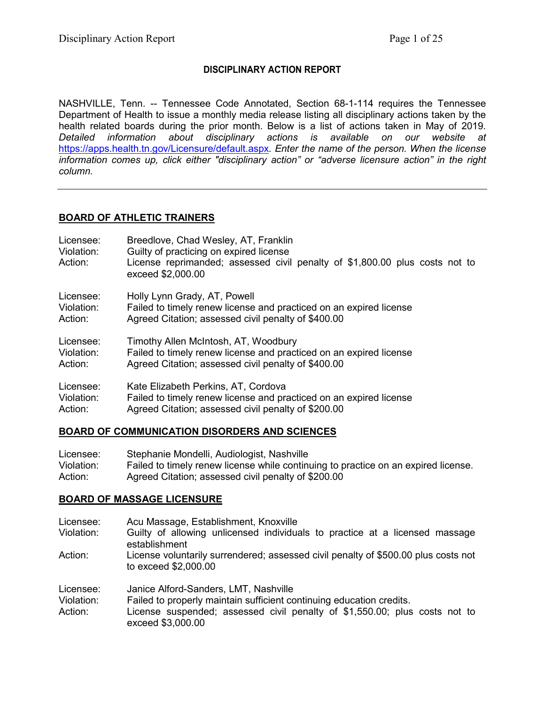## **DISCIPLINARY ACTION REPORT**

NASHVILLE, Tenn. -- Tennessee Code Annotated, Section 68-1-114 requires the Tennessee Department of Health to issue a monthly media release listing all disciplinary actions taken by the health related boards during the prior month. Below is a list of actions taken in May of 2019. *Detailed information about disciplinary actions is available on our website at*  <https://apps.health.tn.gov/Licensure/default.aspx>*. Enter the name of the person. When the license information comes up, click either "disciplinary action" or "adverse licensure action" in the right column.*

## **BOARD OF ATHLETIC TRAINERS**

| Licensee:<br>Violation:<br>Action: | Breedlove, Chad Wesley, AT, Franklin<br>Guilty of practicing on expired license<br>License reprimanded; assessed civil penalty of \$1,800.00 plus costs not to<br>exceed \$2,000.00 |
|------------------------------------|-------------------------------------------------------------------------------------------------------------------------------------------------------------------------------------|
| Licensee:                          | Holly Lynn Grady, AT, Powell                                                                                                                                                        |
| Violation:                         | Failed to timely renew license and practiced on an expired license                                                                                                                  |
| Action:                            | Agreed Citation; assessed civil penalty of \$400.00                                                                                                                                 |
| Licensee:                          | Timothy Allen McIntosh, AT, Woodbury                                                                                                                                                |
| Violation:                         | Failed to timely renew license and practiced on an expired license                                                                                                                  |
| Action:                            | Agreed Citation; assessed civil penalty of \$400.00                                                                                                                                 |
| Licensee:                          | Kate Elizabeth Perkins, AT, Cordova                                                                                                                                                 |
| Violation:                         | Failed to timely renew license and practiced on an expired license                                                                                                                  |
| Action:                            | Agreed Citation; assessed civil penalty of \$200.00                                                                                                                                 |

## **BOARD OF COMMUNICATION DISORDERS AND SCIENCES**

| Licensee:  | Stephanie Mondelli, Audiologist, Nashville                                         |
|------------|------------------------------------------------------------------------------------|
| Violation: | Failed to timely renew license while continuing to practice on an expired license. |
| Action:    | Agreed Citation; assessed civil penalty of \$200.00                                |

## **BOARD OF MASSAGE LICENSURE**

| Licensee:<br>Violation: | Acu Massage, Establishment, Knoxville<br>Guilty of allowing unlicensed individuals to practice at a licensed massage |
|-------------------------|----------------------------------------------------------------------------------------------------------------------|
|                         | establishment                                                                                                        |
| Action:                 | License voluntarily surrendered; assessed civil penalty of \$500.00 plus costs not<br>to exceed \$2,000.00           |
| Licensee:               | Janice Alford-Sanders, LMT, Nashville                                                                                |
| Violation:              | Failed to properly maintain sufficient continuing education credits.                                                 |
| Action:                 | License suspended; assessed civil penalty of \$1,550.00; plus costs not to<br>exceed \$3,000.00                      |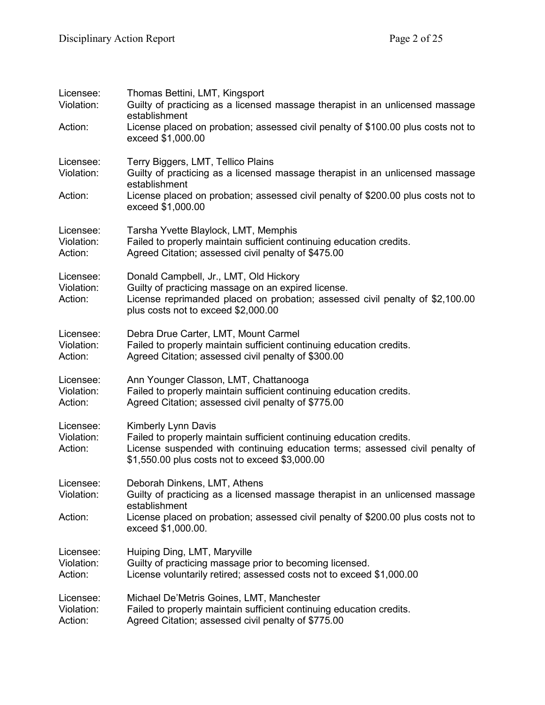| Licensee:<br>Violation:            | Thomas Bettini, LMT, Kingsport<br>Guilty of practicing as a licensed massage therapist in an unlicensed massage<br>establishment                                                                                              |
|------------------------------------|-------------------------------------------------------------------------------------------------------------------------------------------------------------------------------------------------------------------------------|
| Action:                            | License placed on probation; assessed civil penalty of \$100.00 plus costs not to<br>exceed \$1,000.00                                                                                                                        |
| Licensee:<br>Violation:            | Terry Biggers, LMT, Tellico Plains<br>Guilty of practicing as a licensed massage therapist in an unlicensed massage<br>establishment                                                                                          |
| Action:                            | License placed on probation; assessed civil penalty of \$200.00 plus costs not to<br>exceed \$1,000.00                                                                                                                        |
| Licensee:<br>Violation:<br>Action: | Tarsha Yvette Blaylock, LMT, Memphis<br>Failed to properly maintain sufficient continuing education credits.<br>Agreed Citation; assessed civil penalty of \$475.00                                                           |
| Licensee:<br>Violation:<br>Action: | Donald Campbell, Jr., LMT, Old Hickory<br>Guilty of practicing massage on an expired license.<br>License reprimanded placed on probation; assessed civil penalty of \$2,100.00<br>plus costs not to exceed \$2,000.00         |
| Licensee:<br>Violation:<br>Action: | Debra Drue Carter, LMT, Mount Carmel<br>Failed to properly maintain sufficient continuing education credits.<br>Agreed Citation; assessed civil penalty of \$300.00                                                           |
| Licensee:<br>Violation:<br>Action: | Ann Younger Classon, LMT, Chattanooga<br>Failed to properly maintain sufficient continuing education credits.<br>Agreed Citation; assessed civil penalty of \$775.00                                                          |
| Licensee:<br>Violation:<br>Action: | Kimberly Lynn Davis<br>Failed to properly maintain sufficient continuing education credits.<br>License suspended with continuing education terms; assessed civil penalty of<br>\$1,550.00 plus costs not to exceed \$3,000.00 |
| Licensee:<br>Violation:            | Deborah Dinkens, LMT, Athens<br>Guilty of practicing as a licensed massage therapist in an unlicensed massage<br>establishment                                                                                                |
| Action:                            | License placed on probation; assessed civil penalty of \$200.00 plus costs not to<br>exceed \$1,000.00.                                                                                                                       |
| Licensee:<br>Violation:<br>Action: | Huiping Ding, LMT, Maryville<br>Guilty of practicing massage prior to becoming licensed.<br>License voluntarily retired; assessed costs not to exceed \$1,000.00                                                              |
| Licensee:<br>Violation:<br>Action: | Michael De'Metris Goines, LMT, Manchester<br>Failed to properly maintain sufficient continuing education credits.<br>Agreed Citation; assessed civil penalty of \$775.00                                                      |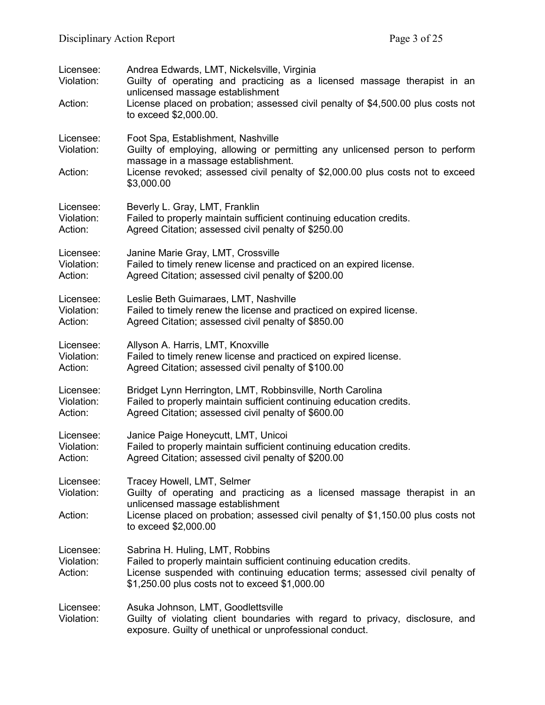| Licensee:<br>Violation:<br>Action: | Andrea Edwards, LMT, Nickelsville, Virginia<br>Guilty of operating and practicing as a licensed massage therapist in an<br>unlicensed massage establishment<br>License placed on probation; assessed civil penalty of \$4,500.00 plus costs not<br>to exceed \$2,000.00. |
|------------------------------------|--------------------------------------------------------------------------------------------------------------------------------------------------------------------------------------------------------------------------------------------------------------------------|
| Licensee:<br>Violation:<br>Action: | Foot Spa, Establishment, Nashville<br>Guilty of employing, allowing or permitting any unlicensed person to perform<br>massage in a massage establishment.<br>License revoked; assessed civil penalty of \$2,000.00 plus costs not to exceed<br>\$3,000.00                |
| Licensee:                          | Beverly L. Gray, LMT, Franklin                                                                                                                                                                                                                                           |
| Violation:                         | Failed to properly maintain sufficient continuing education credits.                                                                                                                                                                                                     |
| Action:                            | Agreed Citation; assessed civil penalty of \$250.00                                                                                                                                                                                                                      |
| Licensee:                          | Janine Marie Gray, LMT, Crossville                                                                                                                                                                                                                                       |
| Violation:                         | Failed to timely renew license and practiced on an expired license.                                                                                                                                                                                                      |
| Action:                            | Agreed Citation; assessed civil penalty of \$200.00                                                                                                                                                                                                                      |
| Licensee:                          | Leslie Beth Guimaraes, LMT, Nashville                                                                                                                                                                                                                                    |
| Violation:                         | Failed to timely renew the license and practiced on expired license.                                                                                                                                                                                                     |
| Action:                            | Agreed Citation; assessed civil penalty of \$850.00                                                                                                                                                                                                                      |
| Licensee:                          | Allyson A. Harris, LMT, Knoxville                                                                                                                                                                                                                                        |
| Violation:                         | Failed to timely renew license and practiced on expired license.                                                                                                                                                                                                         |
| Action:                            | Agreed Citation; assessed civil penalty of \$100.00                                                                                                                                                                                                                      |
| Licensee:                          | Bridget Lynn Herrington, LMT, Robbinsville, North Carolina                                                                                                                                                                                                               |
| Violation:                         | Failed to properly maintain sufficient continuing education credits.                                                                                                                                                                                                     |
| Action:                            | Agreed Citation; assessed civil penalty of \$600.00                                                                                                                                                                                                                      |
| Licensee:                          | Janice Paige Honeycutt, LMT, Unicoi                                                                                                                                                                                                                                      |
| Violation:                         | Failed to properly maintain sufficient continuing education credits.                                                                                                                                                                                                     |
| Action:                            | Agreed Citation; assessed civil penalty of \$200.00                                                                                                                                                                                                                      |
| Licensee:<br>Violation:<br>Action: | Tracey Howell, LMT, Selmer<br>Guilty of operating and practicing as a licensed massage therapist in an<br>unlicensed massage establishment<br>License placed on probation; assessed civil penalty of \$1,150.00 plus costs not<br>to exceed \$2,000.00                   |
| Licensee:<br>Violation:<br>Action: | Sabrina H. Huling, LMT, Robbins<br>Failed to properly maintain sufficient continuing education credits.<br>License suspended with continuing education terms; assessed civil penalty of<br>\$1,250.00 plus costs not to exceed \$1,000.00                                |
| Licensee:<br>Violation:            | Asuka Johnson, LMT, Goodlettsville<br>Guilty of violating client boundaries with regard to privacy, disclosure, and<br>exposure. Guilty of unethical or unprofessional conduct.                                                                                          |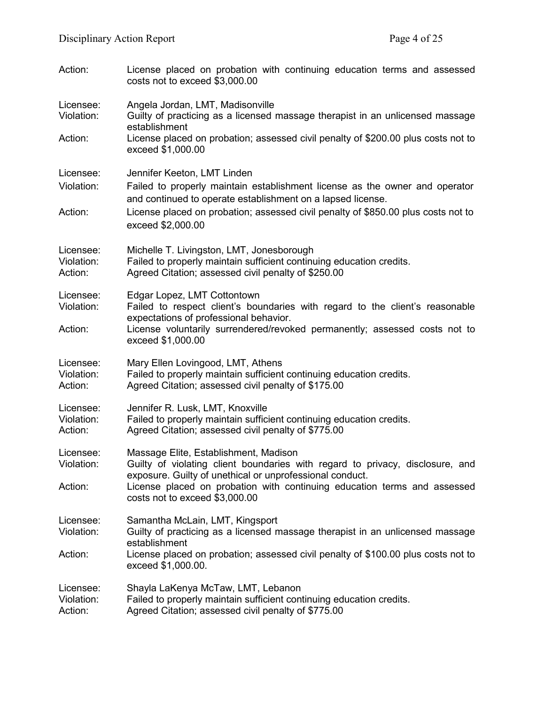| Action:                            | License placed on probation with continuing education terms and assessed<br>costs not to exceed \$3,000.00                                                                                                                                               |
|------------------------------------|----------------------------------------------------------------------------------------------------------------------------------------------------------------------------------------------------------------------------------------------------------|
| Licensee:<br>Violation:            | Angela Jordan, LMT, Madisonville<br>Guilty of practicing as a licensed massage therapist in an unlicensed massage<br>establishment                                                                                                                       |
| Action:                            | License placed on probation; assessed civil penalty of \$200.00 plus costs not to<br>exceed \$1,000.00                                                                                                                                                   |
| Licensee:<br>Violation:            | Jennifer Keeton, LMT Linden<br>Failed to properly maintain establishment license as the owner and operator<br>and continued to operate establishment on a lapsed license.                                                                                |
| Action:                            | License placed on probation; assessed civil penalty of \$850.00 plus costs not to<br>exceed \$2,000.00                                                                                                                                                   |
| Licensee:<br>Violation:<br>Action: | Michelle T. Livingston, LMT, Jonesborough<br>Failed to properly maintain sufficient continuing education credits.<br>Agreed Citation; assessed civil penalty of \$250.00                                                                                 |
| Licensee:<br>Violation:<br>Action: | Edgar Lopez, LMT Cottontown<br>Failed to respect client's boundaries with regard to the client's reasonable<br>expectations of professional behavior.<br>License voluntarily surrendered/revoked permanently; assessed costs not to<br>exceed \$1,000.00 |
| Licensee:<br>Violation:<br>Action: | Mary Ellen Lovingood, LMT, Athens<br>Failed to properly maintain sufficient continuing education credits.<br>Agreed Citation; assessed civil penalty of \$175.00                                                                                         |
| Licensee:<br>Violation:<br>Action: | Jennifer R. Lusk, LMT, Knoxville<br>Failed to properly maintain sufficient continuing education credits.<br>Agreed Citation; assessed civil penalty of \$775.00                                                                                          |
| Licensee:<br>Violation:            | Massage Elite, Establishment, Madison<br>Guilty of violating client boundaries with regard to privacy, disclosure, and<br>exposure. Guilty of unethical or unprofessional conduct.                                                                       |
| Action:                            | License placed on probation with continuing education terms and assessed<br>costs not to exceed \$3,000.00                                                                                                                                               |
| Licensee:<br>Violation:            | Samantha McLain, LMT, Kingsport<br>Guilty of practicing as a licensed massage therapist in an unlicensed massage<br>establishment                                                                                                                        |
| Action:                            | License placed on probation; assessed civil penalty of \$100.00 plus costs not to<br>exceed \$1,000.00.                                                                                                                                                  |
| Licensee:<br>Violation:<br>Action: | Shayla LaKenya McTaw, LMT, Lebanon<br>Failed to properly maintain sufficient continuing education credits.<br>Agreed Citation; assessed civil penalty of \$775.00                                                                                        |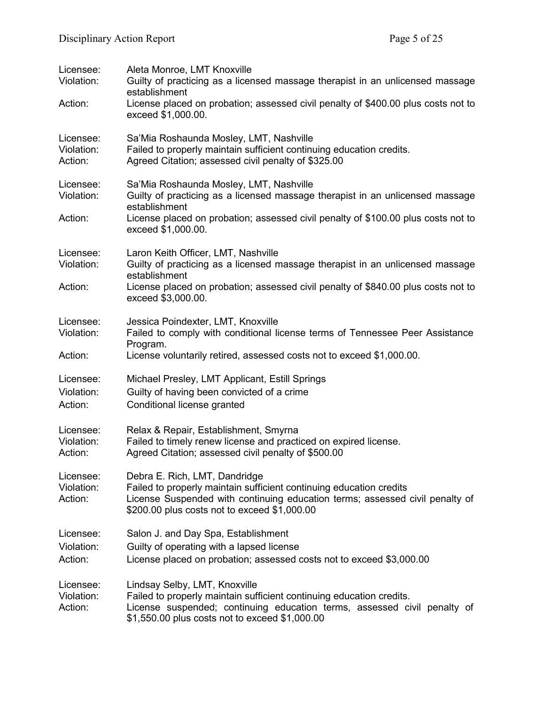| Licensee:<br>Violation:            | Aleta Monroe, LMT Knoxville<br>Guilty of practicing as a licensed massage therapist in an unlicensed massage<br>establishment                                                                                                        |
|------------------------------------|--------------------------------------------------------------------------------------------------------------------------------------------------------------------------------------------------------------------------------------|
| Action:                            | License placed on probation; assessed civil penalty of \$400.00 plus costs not to<br>exceed \$1,000.00.                                                                                                                              |
| Licensee:<br>Violation:<br>Action: | Sa'Mia Roshaunda Mosley, LMT, Nashville<br>Failed to properly maintain sufficient continuing education credits.<br>Agreed Citation; assessed civil penalty of \$325.00                                                               |
| Licensee:<br>Violation:            | Sa'Mia Roshaunda Mosley, LMT, Nashville<br>Guilty of practicing as a licensed massage therapist in an unlicensed massage<br>establishment                                                                                            |
| Action:                            | License placed on probation; assessed civil penalty of \$100.00 plus costs not to<br>exceed \$1,000.00.                                                                                                                              |
| Licensee:<br>Violation:            | Laron Keith Officer, LMT, Nashville<br>Guilty of practicing as a licensed massage therapist in an unlicensed massage<br>establishment                                                                                                |
| Action:                            | License placed on probation; assessed civil penalty of \$840.00 plus costs not to<br>exceed \$3,000.00.                                                                                                                              |
| Licensee:<br>Violation:            | Jessica Poindexter, LMT, Knoxville<br>Failed to comply with conditional license terms of Tennessee Peer Assistance<br>Program.                                                                                                       |
| Action:                            | License voluntarily retired, assessed costs not to exceed \$1,000.00.                                                                                                                                                                |
| Licensee:<br>Violation:<br>Action: | Michael Presley, LMT Applicant, Estill Springs<br>Guilty of having been convicted of a crime<br>Conditional license granted                                                                                                          |
| Licensee:<br>Violation:<br>Action: | Relax & Repair, Establishment, Smyrna<br>Failed to timely renew license and practiced on expired license.<br>Agreed Citation; assessed civil penalty of \$500.00                                                                     |
| Licensee:<br>Violation:<br>Action: | Debra E. Rich, LMT, Dandridge<br>Failed to properly maintain sufficient continuing education credits<br>License Suspended with continuing education terms; assessed civil penalty of<br>\$200.00 plus costs not to exceed \$1,000.00 |
| Licensee:                          | Salon J. and Day Spa, Establishment                                                                                                                                                                                                  |
| Violation:<br>Action:              | Guilty of operating with a lapsed license<br>License placed on probation; assessed costs not to exceed \$3,000.00                                                                                                                    |
| Licensee:<br>Violation:<br>Action: | Lindsay Selby, LMT, Knoxville<br>Failed to properly maintain sufficient continuing education credits.<br>License suspended; continuing education terms, assessed civil penalty of<br>\$1,550.00 plus costs not to exceed \$1,000.00  |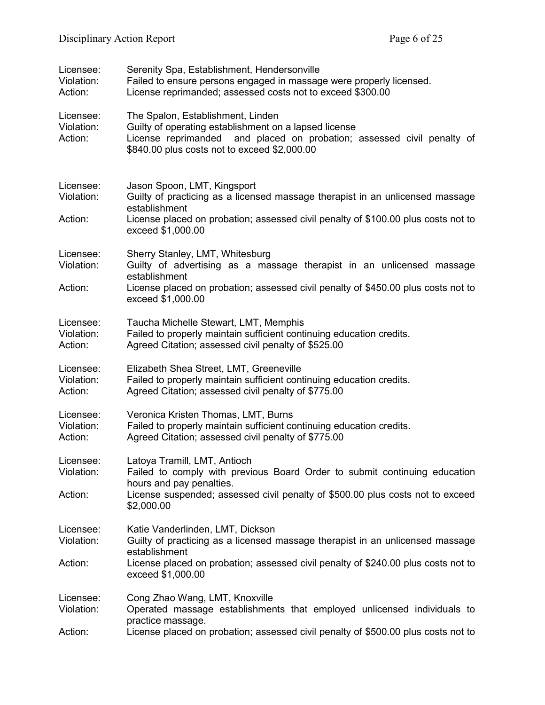| Licensee:<br>Violation:<br>Action: | Serenity Spa, Establishment, Hendersonville<br>Failed to ensure persons engaged in massage were properly licensed.<br>License reprimanded; assessed costs not to exceed \$300.00                                     |
|------------------------------------|----------------------------------------------------------------------------------------------------------------------------------------------------------------------------------------------------------------------|
| Licensee:<br>Violation:<br>Action: | The Spalon, Establishment, Linden<br>Guilty of operating establishment on a lapsed license<br>License reprimanded and placed on probation; assessed civil penalty of<br>\$840.00 plus costs not to exceed \$2,000.00 |
| Licensee:<br>Violation:            | Jason Spoon, LMT, Kingsport<br>Guilty of practicing as a licensed massage therapist in an unlicensed massage<br>establishment                                                                                        |
| Action:                            | License placed on probation; assessed civil penalty of \$100.00 plus costs not to<br>exceed \$1,000.00                                                                                                               |
| Licensee:<br>Violation:            | Sherry Stanley, LMT, Whitesburg<br>Guilty of advertising as a massage therapist in an unlicensed massage<br>establishment                                                                                            |
| Action:                            | License placed on probation; assessed civil penalty of \$450.00 plus costs not to<br>exceed \$1,000.00                                                                                                               |
| Licensee:<br>Violation:<br>Action: | Taucha Michelle Stewart, LMT, Memphis<br>Failed to properly maintain sufficient continuing education credits.<br>Agreed Citation; assessed civil penalty of \$525.00                                                 |
| Licensee:<br>Violation:<br>Action: | Elizabeth Shea Street, LMT, Greeneville<br>Failed to properly maintain sufficient continuing education credits.<br>Agreed Citation; assessed civil penalty of \$775.00                                               |
| Licensee:<br>Violation:<br>Action: | Veronica Kristen Thomas, LMT, Burns<br>Failed to properly maintain sufficient continuing education credits.<br>Agreed Citation; assessed civil penalty of \$775.00                                                   |
| Licensee:<br>Violation:            | Latoya Tramill, LMT, Antioch<br>Failed to comply with previous Board Order to submit continuing education<br>hours and pay penalties.                                                                                |
| Action:                            | License suspended; assessed civil penalty of \$500.00 plus costs not to exceed<br>\$2,000.00                                                                                                                         |
| Licensee:<br>Violation:            | Katie Vanderlinden, LMT, Dickson<br>Guilty of practicing as a licensed massage therapist in an unlicensed massage<br>establishment                                                                                   |
| Action:                            | License placed on probation; assessed civil penalty of \$240.00 plus costs not to<br>exceed \$1,000.00                                                                                                               |
| Licensee:<br>Violation:            | Cong Zhao Wang, LMT, Knoxville<br>Operated massage establishments that employed unlicensed individuals to<br>practice massage.                                                                                       |
| Action:                            | License placed on probation; assessed civil penalty of \$500.00 plus costs not to                                                                                                                                    |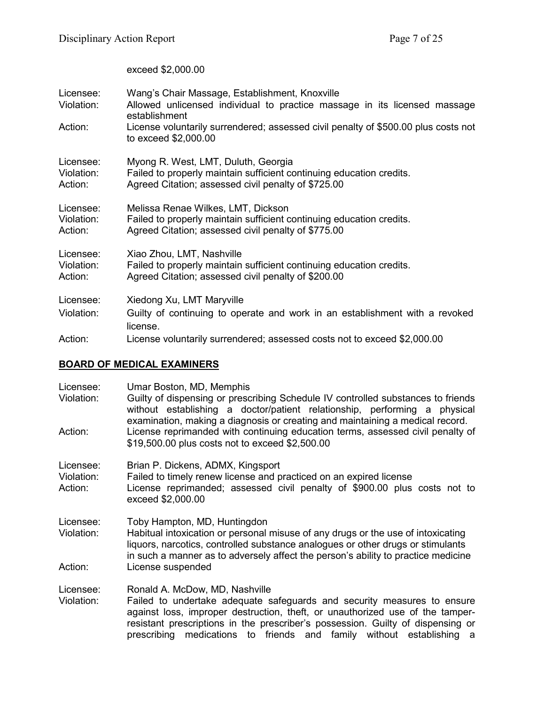exceed \$2,000.00

| Licensee:<br>Violation:            | Wang's Chair Massage, Establishment, Knoxville<br>Allowed unlicensed individual to practice massage in its licensed massage<br>establishment                       |
|------------------------------------|--------------------------------------------------------------------------------------------------------------------------------------------------------------------|
| Action:                            | License voluntarily surrendered; assessed civil penalty of \$500.00 plus costs not<br>to exceed \$2,000.00                                                         |
| Licensee:<br>Violation:<br>Action: | Myong R. West, LMT, Duluth, Georgia<br>Failed to properly maintain sufficient continuing education credits.<br>Agreed Citation; assessed civil penalty of \$725.00 |
| Licensee:<br>Violation:<br>Action: | Melissa Renae Wilkes, LMT, Dickson<br>Failed to properly maintain sufficient continuing education credits.<br>Agreed Citation; assessed civil penalty of \$775.00  |
| Licensee:<br>Violation:<br>Action: | Xiao Zhou, LMT, Nashville<br>Failed to properly maintain sufficient continuing education credits.<br>Agreed Citation; assessed civil penalty of \$200.00           |
| Licensee:                          | Xiedong Xu, LMT Maryville                                                                                                                                          |
| Violation:                         | Guilty of continuing to operate and work in an establishment with a revoked<br>license.                                                                            |
| Action:                            | License voluntarily surrendered; assessed costs not to exceed \$2,000.00                                                                                           |

## **BOARD OF MEDICAL EXAMINERS**

| Licensee:<br>Violation:            | Umar Boston, MD, Memphis<br>Guilty of dispensing or prescribing Schedule IV controlled substances to friends<br>without establishing a doctor/patient relationship, performing a physical<br>examination, making a diagnosis or creating and maintaining a medical record.                                                                            |
|------------------------------------|-------------------------------------------------------------------------------------------------------------------------------------------------------------------------------------------------------------------------------------------------------------------------------------------------------------------------------------------------------|
| Action:                            | License reprimanded with continuing education terms, assessed civil penalty of<br>\$19,500.00 plus costs not to exceed \$2,500.00                                                                                                                                                                                                                     |
| Licensee:<br>Violation:<br>Action: | Brian P. Dickens, ADMX, Kingsport<br>Failed to timely renew license and practiced on an expired license<br>License reprimanded; assessed civil penalty of \$900.00 plus costs not to<br>exceed \$2,000.00                                                                                                                                             |
| Licensee:<br>Violation:            | Toby Hampton, MD, Huntingdon<br>Habitual intoxication or personal misuse of any drugs or the use of intoxicating<br>liquors, narcotics, controlled substance analogues or other drugs or stimulants<br>in such a manner as to adversely affect the person's ability to practice medicine                                                              |
| Action:                            | License suspended                                                                                                                                                                                                                                                                                                                                     |
| Licensee:<br>Violation:            | Ronald A. McDow, MD, Nashville<br>Failed to undertake adequate safeguards and security measures to ensure<br>against loss, improper destruction, theft, or unauthorized use of the tamper-<br>resistant prescriptions in the prescriber's possession. Guilty of dispensing or<br>prescribing medications to friends and family without establishing a |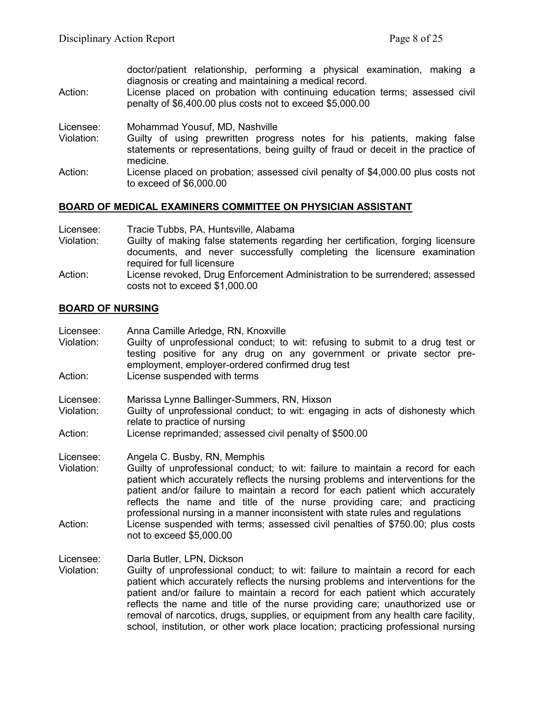doctor/patient relationship, performing a physical examination, making a diagnosis or creating and maintaining a medical record. Action: License placed on probation with continuing education terms; assessed civil penalty of \$6,400.00 plus costs not to exceed \$5,000.00 Licensee: Mohammad Yousuf, MD, Nashville Guilty of using prewritten progress notes for his patients, making false statements or representations, being guilty of fraud or deceit in the practice of medicine. Action: License placed on probation; assessed civil penalty of \$4,000.00 plus costs not to exceed of \$6,000.00

#### **BOARD OF MEDICAL EXAMINERS COMMITTEE ON PHYSICIAN ASSISTANT**

| Licensee:  | Tracie Tubbs, PA, Huntsville, Alabama                                                                          |
|------------|----------------------------------------------------------------------------------------------------------------|
| Violation: | Guilty of making false statements regarding her certification, forging licensure                               |
|            | documents, and never successfully completing the licensure examination<br>required for full licensure          |
| Action:    | License revoked, Drug Enforcement Administration to be surrendered; assessed<br>costs not to exceed \$1,000.00 |

#### **BOARD OF NURSING**

Licensee: Anna Camille Arledge, RN, Knoxville Violation: Guilty of unprofessional conduct; to wit: refusing to submit to a drug test or testing positive for any drug on any government or private sector preemployment, employer-ordered confirmed drug test Action: License suspended with terms

Licensee: Marissa Lynne Ballinger-Summers, RN, Hixson<br>Violation: Guilty of unprofessional conduct: to wit: engac

- Guilty of unprofessional conduct; to wit: engaging in acts of dishonesty which relate to practice of nursing
- Action: License reprimanded; assessed civil penalty of \$500.00

Licensee: Angela C. Busby, RN, Memphis

Violation: Guilty of unprofessional conduct; to wit: failure to maintain a record for each patient which accurately reflects the nursing problems and interventions for the patient and/or failure to maintain a record for each patient which accurately reflects the name and title of the nurse providing care; and practicing professional nursing in a manner inconsistent with state rules and regulations Action: License suspended with terms; assessed civil penalties of \$750.00; plus costs not to exceed \$5,000.00

Licensee: Darla Butler, LPN, Dickson

Violation: Guilty of unprofessional conduct; to wit: failure to maintain a record for each patient which accurately reflects the nursing problems and interventions for the patient and/or failure to maintain a record for each patient which accurately reflects the name and title of the nurse providing care; unauthorized use or removal of narcotics, drugs, supplies, or equipment from any health care facility, school, institution, or other work place location; practicing professional nursing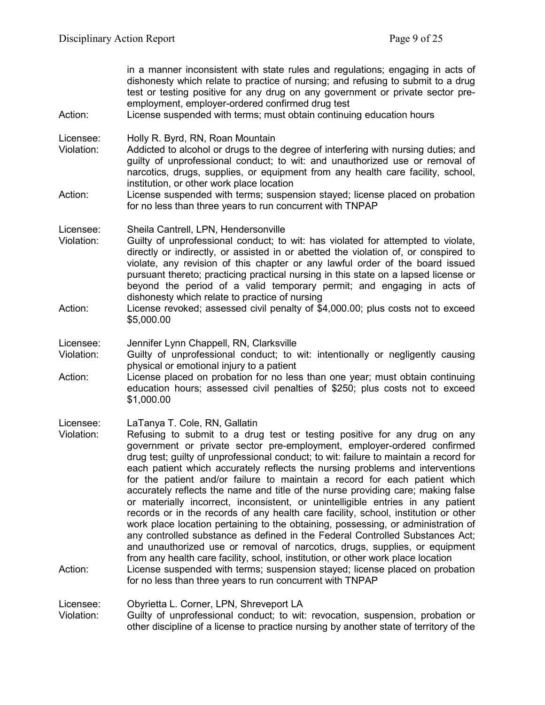| Action:                            | in a manner inconsistent with state rules and regulations; engaging in acts of<br>dishonesty which relate to practice of nursing; and refusing to submit to a drug<br>test or testing positive for any drug on any government or private sector pre-<br>employment, employer-ordered confirmed drug test<br>License suspended with terms; must obtain continuing education hours                                                                                                                                                                                                                                                                                                                                                                                                                                                                                                                                                                                                                                                                                                                                                                                                                  |
|------------------------------------|---------------------------------------------------------------------------------------------------------------------------------------------------------------------------------------------------------------------------------------------------------------------------------------------------------------------------------------------------------------------------------------------------------------------------------------------------------------------------------------------------------------------------------------------------------------------------------------------------------------------------------------------------------------------------------------------------------------------------------------------------------------------------------------------------------------------------------------------------------------------------------------------------------------------------------------------------------------------------------------------------------------------------------------------------------------------------------------------------------------------------------------------------------------------------------------------------|
| Licensee:<br>Violation:<br>Action: | Holly R. Byrd, RN, Roan Mountain<br>Addicted to alcohol or drugs to the degree of interfering with nursing duties; and<br>guilty of unprofessional conduct; to wit: and unauthorized use or removal of<br>narcotics, drugs, supplies, or equipment from any health care facility, school,<br>institution, or other work place location<br>License suspended with terms; suspension stayed; license placed on probation                                                                                                                                                                                                                                                                                                                                                                                                                                                                                                                                                                                                                                                                                                                                                                            |
|                                    | for no less than three years to run concurrent with TNPAP                                                                                                                                                                                                                                                                                                                                                                                                                                                                                                                                                                                                                                                                                                                                                                                                                                                                                                                                                                                                                                                                                                                                         |
| Licensee:<br>Violation:<br>Action: | Sheila Cantrell, LPN, Hendersonville<br>Guilty of unprofessional conduct; to wit: has violated for attempted to violate,<br>directly or indirectly, or assisted in or abetted the violation of, or conspired to<br>violate, any revision of this chapter or any lawful order of the board issued<br>pursuant thereto; practicing practical nursing in this state on a lapsed license or<br>beyond the period of a valid temporary permit; and engaging in acts of<br>dishonesty which relate to practice of nursing<br>License revoked; assessed civil penalty of \$4,000.00; plus costs not to exceed<br>\$5,000.00                                                                                                                                                                                                                                                                                                                                                                                                                                                                                                                                                                              |
|                                    |                                                                                                                                                                                                                                                                                                                                                                                                                                                                                                                                                                                                                                                                                                                                                                                                                                                                                                                                                                                                                                                                                                                                                                                                   |
| Licensee:<br>Violation:            | Jennifer Lynn Chappell, RN, Clarksville<br>Guilty of unprofessional conduct; to wit: intentionally or negligently causing<br>physical or emotional injury to a patient                                                                                                                                                                                                                                                                                                                                                                                                                                                                                                                                                                                                                                                                                                                                                                                                                                                                                                                                                                                                                            |
| Action:                            | License placed on probation for no less than one year; must obtain continuing<br>education hours; assessed civil penalties of \$250; plus costs not to exceed<br>\$1,000.00                                                                                                                                                                                                                                                                                                                                                                                                                                                                                                                                                                                                                                                                                                                                                                                                                                                                                                                                                                                                                       |
| Licensee:<br>Violation:<br>Action: | LaTanya T. Cole, RN, Gallatin<br>Refusing to submit to a drug test or testing positive for any drug on any<br>government or private sector pre-employment, employer-ordered confirmed<br>drug test; guilty of unprofessional conduct; to wit: failure to maintain a record for<br>each patient which accurately reflects the nursing problems and interventions<br>for the patient and/or failure to maintain a record for each patient which<br>accurately reflects the name and title of the nurse providing care; making false<br>or materially incorrect, inconsistent, or unintelligible entries in any patient<br>records or in the records of any health care facility, school, institution or other<br>work place location pertaining to the obtaining, possessing, or administration of<br>any controlled substance as defined in the Federal Controlled Substances Act;<br>and unauthorized use or removal of narcotics, drugs, supplies, or equipment<br>from any health care facility, school, institution, or other work place location<br>License suspended with terms; suspension stayed; license placed on probation<br>for no less than three years to run concurrent with TNPAP |
| Licensee:                          | Obyrietta L. Corner, LPN, Shreveport LA                                                                                                                                                                                                                                                                                                                                                                                                                                                                                                                                                                                                                                                                                                                                                                                                                                                                                                                                                                                                                                                                                                                                                           |
| Violation <sup>.</sup>             | Guilty of unprofessional conduct: to wit: revocation suspension probation or                                                                                                                                                                                                                                                                                                                                                                                                                                                                                                                                                                                                                                                                                                                                                                                                                                                                                                                                                                                                                                                                                                                      |

Violation: Guilty of unprofessional conduct; to wit: revocation, suspension, probation or other discipline of a license to practice nursing by another state of territory of the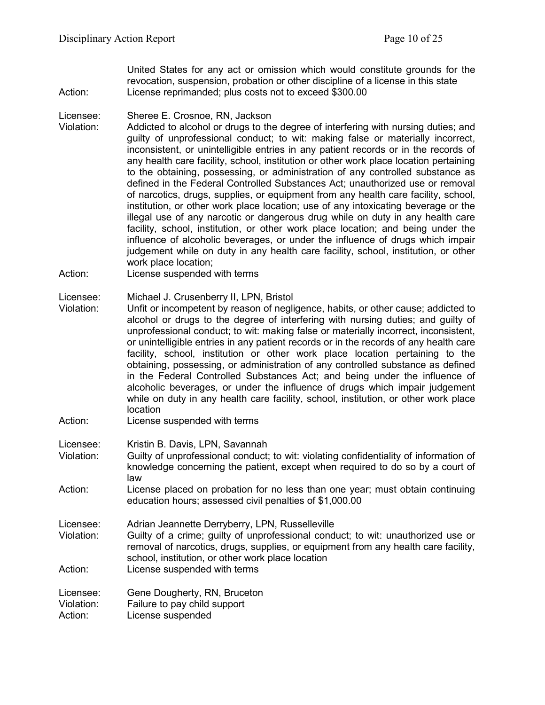United States for any act or omission which would constitute grounds for the revocation, suspension, probation or other discipline of a license in this state Action: License reprimanded; plus costs not to exceed \$300.00

#### Licensee: Sheree E. Crosnoe, RN, Jackson

- Violation: Addicted to alcohol or drugs to the degree of interfering with nursing duties; and guilty of unprofessional conduct; to wit: making false or materially incorrect, inconsistent, or unintelligible entries in any patient records or in the records of any health care facility, school, institution or other work place location pertaining to the obtaining, possessing, or administration of any controlled substance as defined in the Federal Controlled Substances Act; unauthorized use or removal of narcotics, drugs, supplies, or equipment from any health care facility, school, institution, or other work place location; use of any intoxicating beverage or the illegal use of any narcotic or dangerous drug while on duty in any health care facility, school, institution, or other work place location; and being under the influence of alcoholic beverages, or under the influence of drugs which impair judgement while on duty in any health care facility, school, institution, or other work place location;
- Action: License suspended with terms

#### Licensee: Michael J. Crusenberry II, LPN, Bristol

- Violation: Unfit or incompetent by reason of negligence, habits, or other cause; addicted to alcohol or drugs to the degree of interfering with nursing duties; and guilty of unprofessional conduct; to wit: making false or materially incorrect, inconsistent, or unintelligible entries in any patient records or in the records of any health care facility, school, institution or other work place location pertaining to the obtaining, possessing, or administration of any controlled substance as defined in the Federal Controlled Substances Act; and being under the influence of alcoholic beverages, or under the influence of drugs which impair judgement while on duty in any health care facility, school, institution, or other work place location
- Action: License suspended with terms
- Licensee: Kristin B. Davis, LPN, Savannah
- Violation: Guilty of unprofessional conduct; to wit: violating confidentiality of information of knowledge concerning the patient, except when required to do so by a court of law
- Action: License placed on probation for no less than one year; must obtain continuing education hours; assessed civil penalties of \$1,000.00
- Licensee: Adrian Jeannette Derryberry, LPN, Russelleville Guilty of a crime; quilty of unprofessional conduct; to wit: unauthorized use or removal of narcotics, drugs, supplies, or equipment from any health care facility, school, institution, or other work place location
- Action: License suspended with terms

Licensee: Gene Dougherty, RN, Bruceton

Violation: Failure to pay child support

Action: License suspended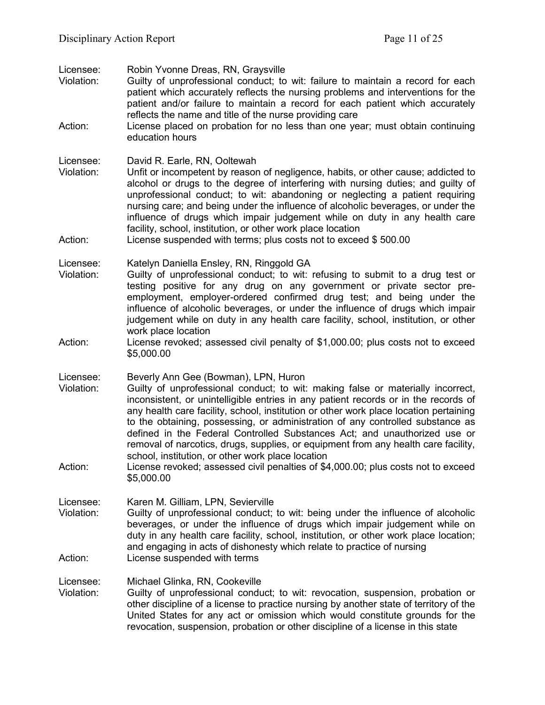Licensee: Robin Yvonne Dreas, RN, Graysville

- Violation: Guilty of unprofessional conduct; to wit: failure to maintain a record for each patient which accurately reflects the nursing problems and interventions for the patient and/or failure to maintain a record for each patient which accurately reflects the name and title of the nurse providing care
- Action: License placed on probation for no less than one year; must obtain continuing education hours

Licensee: David R. Earle, RN, Ooltewah

Violation: Unfit or incompetent by reason of negligence, habits, or other cause; addicted to alcohol or drugs to the degree of interfering with nursing duties; and guilty of unprofessional conduct; to wit: abandoning or neglecting a patient requiring nursing care; and being under the influence of alcoholic beverages, or under the influence of drugs which impair judgement while on duty in any health care facility, school, institution, or other work place location

Action: License suspended with terms; plus costs not to exceed \$500.00

Licensee: Katelyn Daniella Ensley, RN, Ringgold GA<br>Violation: Guilty of unprofessional conduct: to wit:

- Guilty of unprofessional conduct; to wit: refusing to submit to a drug test or testing positive for any drug on any government or private sector preemployment, employer-ordered confirmed drug test; and being under the influence of alcoholic beverages, or under the influence of drugs which impair judgement while on duty in any health care facility, school, institution, or other work place location
- Action: License revoked; assessed civil penalty of \$1,000.00; plus costs not to exceed \$5,000.00

Licensee: Beverly Ann Gee (Bowman), LPN, Huron

- Violation: Guilty of unprofessional conduct; to wit: making false or materially incorrect, inconsistent, or unintelligible entries in any patient records or in the records of any health care facility, school, institution or other work place location pertaining to the obtaining, possessing, or administration of any controlled substance as defined in the Federal Controlled Substances Act; and unauthorized use or removal of narcotics, drugs, supplies, or equipment from any health care facility, school, institution, or other work place location
- Action: License revoked; assessed civil penalties of \$4,000.00; plus costs not to exceed \$5,000.00

Licensee: Karen M. Gilliam, LPN, Sevierville

Violation: Guilty of unprofessional conduct; to wit: being under the influence of alcoholic beverages, or under the influence of drugs which impair judgement while on duty in any health care facility, school, institution, or other work place location; and engaging in acts of dishonesty which relate to practice of nursing Action: License suspended with terms

Licensee: Michael Glinka, RN, Cookeville

Violation: Guilty of unprofessional conduct; to wit: revocation, suspension, probation or other discipline of a license to practice nursing by another state of territory of the United States for any act or omission which would constitute grounds for the revocation, suspension, probation or other discipline of a license in this state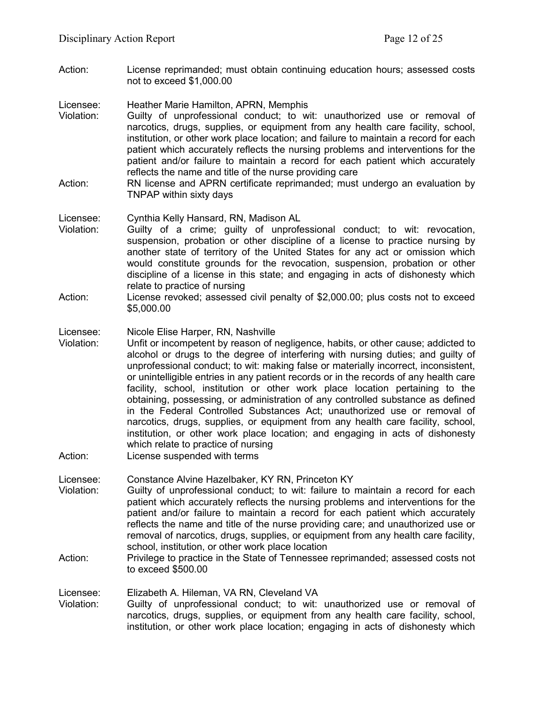Action: License reprimanded; must obtain continuing education hours; assessed costs not to exceed \$1,000.00

Licensee: Heather Marie Hamilton, APRN, Memphis

- Violation: Guilty of unprofessional conduct; to wit: unauthorized use or removal of narcotics, drugs, supplies, or equipment from any health care facility, school, institution, or other work place location; and failure to maintain a record for each patient which accurately reflects the nursing problems and interventions for the patient and/or failure to maintain a record for each patient which accurately reflects the name and title of the nurse providing care
- Action: RN license and APRN certificate reprimanded; must undergo an evaluation by TNPAP within sixty days

#### Licensee: Cynthia Kelly Hansard, RN, Madison AL

- Violation: Guilty of a crime; guilty of unprofessional conduct; to wit: revocation, suspension, probation or other discipline of a license to practice nursing by another state of territory of the United States for any act or omission which would constitute grounds for the revocation, suspension, probation or other discipline of a license in this state; and engaging in acts of dishonesty which relate to practice of nursing
- Action: License revoked; assessed civil penalty of \$2,000.00; plus costs not to exceed \$5,000.00

#### Licensee: Nicole Elise Harper, RN, Nashville

- Violation: Unfit or incompetent by reason of negligence, habits, or other cause; addicted to alcohol or drugs to the degree of interfering with nursing duties; and guilty of unprofessional conduct; to wit: making false or materially incorrect, inconsistent, or unintelligible entries in any patient records or in the records of any health care facility, school, institution or other work place location pertaining to the obtaining, possessing, or administration of any controlled substance as defined in the Federal Controlled Substances Act; unauthorized use or removal of narcotics, drugs, supplies, or equipment from any health care facility, school, institution, or other work place location; and engaging in acts of dishonesty which relate to practice of nursing
- Action: License suspended with terms

Licensee: Constance Alvine Hazelbaker, KY RN, Princeton KY

- Violation: Guilty of unprofessional conduct; to wit: failure to maintain a record for each patient which accurately reflects the nursing problems and interventions for the patient and/or failure to maintain a record for each patient which accurately reflects the name and title of the nurse providing care; and unauthorized use or removal of narcotics, drugs, supplies, or equipment from any health care facility, school, institution, or other work place location
- Action: Privilege to practice in the State of Tennessee reprimanded; assessed costs not to exceed \$500.00

Licensee: Elizabeth A. Hileman, VA RN, Cleveland VA

Violation: Guilty of unprofessional conduct; to wit: unauthorized use or removal of narcotics, drugs, supplies, or equipment from any health care facility, school, institution, or other work place location; engaging in acts of dishonesty which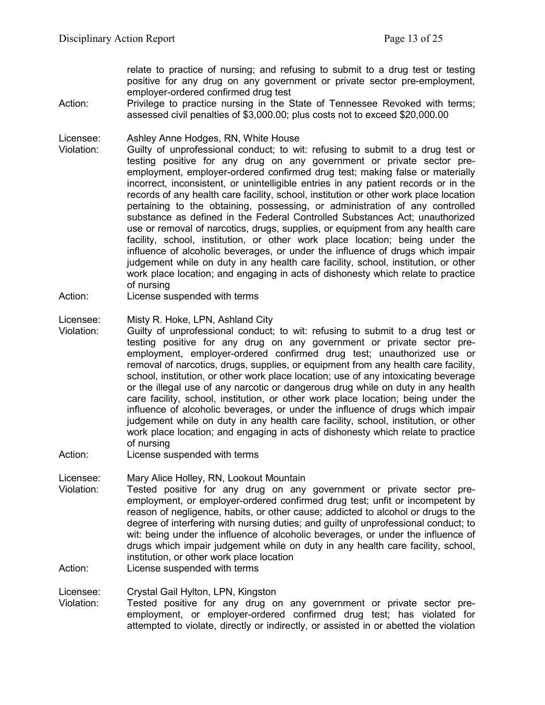relate to practice of nursing; and refusing to submit to a drug test or testing positive for any drug on any government or private sector pre-employment, employer-ordered confirmed drug test

Action: Privilege to practice nursing in the State of Tennessee Revoked with terms; assessed civil penalties of \$3,000.00; plus costs not to exceed \$20,000.00

Licensee: Ashley Anne Hodges, RN, White House

- Violation: Guilty of unprofessional conduct; to wit: refusing to submit to a drug test or testing positive for any drug on any government or private sector preemployment, employer-ordered confirmed drug test; making false or materially incorrect, inconsistent, or unintelligible entries in any patient records or in the records of any health care facility, school, institution or other work place location pertaining to the obtaining, possessing, or administration of any controlled substance as defined in the Federal Controlled Substances Act; unauthorized use or removal of narcotics, drugs, supplies, or equipment from any health care facility, school, institution, or other work place location; being under the influence of alcoholic beverages, or under the influence of drugs which impair judgement while on duty in any health care facility, school, institution, or other work place location; and engaging in acts of dishonesty which relate to practice of nursing
- Action: License suspended with terms

Licensee: Misty R. Hoke, LPN, Ashland City

- Violation: Guilty of unprofessional conduct; to wit: refusing to submit to a drug test or testing positive for any drug on any government or private sector preemployment, employer-ordered confirmed drug test; unauthorized use or removal of narcotics, drugs, supplies, or equipment from any health care facility, school, institution, or other work place location; use of any intoxicating beverage or the illegal use of any narcotic or dangerous drug while on duty in any health care facility, school, institution, or other work place location; being under the influence of alcoholic beverages, or under the influence of drugs which impair judgement while on duty in any health care facility, school, institution, or other work place location; and engaging in acts of dishonesty which relate to practice of nursing
- Action: License suspended with terms
- Licensee: Mary Alice Holley, RN, Lookout Mountain Violation: Tested positive for any drug on any government or private sector preemployment, or employer-ordered confirmed drug test; unfit or incompetent by reason of negligence, habits, or other cause; addicted to alcohol or drugs to the degree of interfering with nursing duties; and guilty of unprofessional conduct; to wit: being under the influence of alcoholic beverages, or under the influence of drugs which impair judgement while on duty in any health care facility, school, institution, or other work place location

Action: License suspended with terms

Licensee: Crystal Gail Hylton, LPN, Kingston

Tested positive for any drug on any government or private sector preemployment, or employer-ordered confirmed drug test; has violated for attempted to violate, directly or indirectly, or assisted in or abetted the violation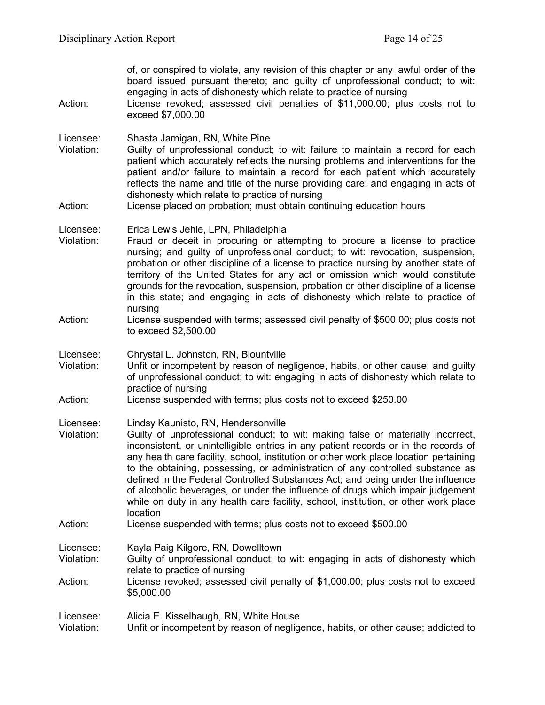| Action:                            | of, or conspired to violate, any revision of this chapter or any lawful order of the<br>board issued pursuant thereto; and guilty of unprofessional conduct; to wit:<br>engaging in acts of dishonesty which relate to practice of nursing<br>License revoked; assessed civil penalties of \$11,000.00; plus costs not to<br>exceed \$7,000.00                                                                                                                                                                                                                                                                                                                   |
|------------------------------------|------------------------------------------------------------------------------------------------------------------------------------------------------------------------------------------------------------------------------------------------------------------------------------------------------------------------------------------------------------------------------------------------------------------------------------------------------------------------------------------------------------------------------------------------------------------------------------------------------------------------------------------------------------------|
| Licensee:<br>Violation:<br>Action: | Shasta Jarnigan, RN, White Pine<br>Guilty of unprofessional conduct; to wit: failure to maintain a record for each<br>patient which accurately reflects the nursing problems and interventions for the<br>patient and/or failure to maintain a record for each patient which accurately<br>reflects the name and title of the nurse providing care; and engaging in acts of<br>dishonesty which relate to practice of nursing<br>License placed on probation; must obtain continuing education hours                                                                                                                                                             |
| Licensee:<br>Violation:            | Erica Lewis Jehle, LPN, Philadelphia<br>Fraud or deceit in procuring or attempting to procure a license to practice<br>nursing; and guilty of unprofessional conduct; to wit: revocation, suspension,<br>probation or other discipline of a license to practice nursing by another state of<br>territory of the United States for any act or omission which would constitute<br>grounds for the revocation, suspension, probation or other discipline of a license<br>in this state; and engaging in acts of dishonesty which relate to practice of                                                                                                              |
| Action:                            | nursing<br>License suspended with terms; assessed civil penalty of \$500.00; plus costs not<br>to exceed \$2,500.00                                                                                                                                                                                                                                                                                                                                                                                                                                                                                                                                              |
| Licensee:<br>Violation:            | Chrystal L. Johnston, RN, Blountville<br>Unfit or incompetent by reason of negligence, habits, or other cause; and guilty<br>of unprofessional conduct; to wit: engaging in acts of dishonesty which relate to<br>practice of nursing                                                                                                                                                                                                                                                                                                                                                                                                                            |
| Action:                            | License suspended with terms; plus costs not to exceed \$250.00                                                                                                                                                                                                                                                                                                                                                                                                                                                                                                                                                                                                  |
| Licensee:<br>Violation:            | Lindsy Kaunisto, RN, Hendersonville<br>Guilty of unprofessional conduct; to wit: making false or materially incorrect,<br>inconsistent, or unintelligible entries in any patient records or in the records of<br>any health care facility, school, institution or other work place location pertaining<br>to the obtaining, possessing, or administration of any controlled substance as<br>defined in the Federal Controlled Substances Act; and being under the influence<br>of alcoholic beverages, or under the influence of drugs which impair judgement<br>while on duty in any health care facility, school, institution, or other work place<br>location |
| Action:                            | License suspended with terms; plus costs not to exceed \$500.00                                                                                                                                                                                                                                                                                                                                                                                                                                                                                                                                                                                                  |
| Licensee:<br>Violation:<br>Action: | Kayla Paig Kilgore, RN, Dowelltown<br>Guilty of unprofessional conduct; to wit: engaging in acts of dishonesty which<br>relate to practice of nursing<br>License revoked; assessed civil penalty of \$1,000.00; plus costs not to exceed<br>\$5,000.00                                                                                                                                                                                                                                                                                                                                                                                                           |
| Licensee:<br>Violation:            | Alicia E. Kisselbaugh, RN, White House<br>Unfit or incompetent by reason of negligence, habits, or other cause; addicted to                                                                                                                                                                                                                                                                                                                                                                                                                                                                                                                                      |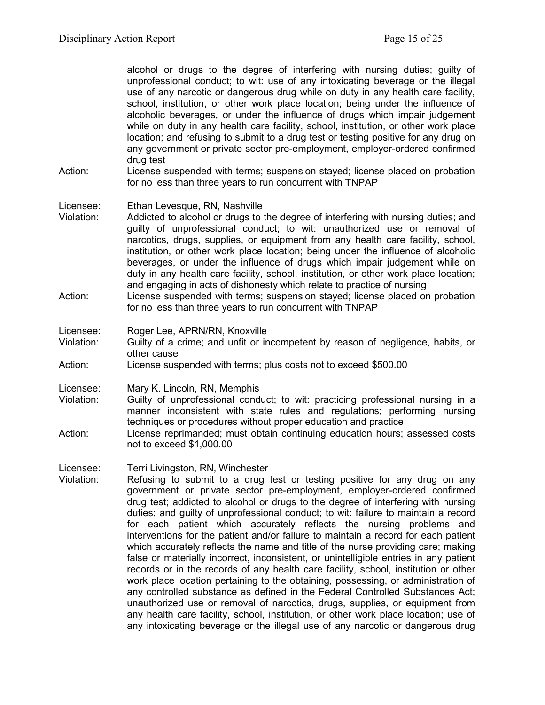alcohol or drugs to the degree of interfering with nursing duties; guilty of unprofessional conduct; to wit: use of any intoxicating beverage or the illegal use of any narcotic or dangerous drug while on duty in any health care facility, school, institution, or other work place location; being under the influence of alcoholic beverages, or under the influence of drugs which impair judgement while on duty in any health care facility, school, institution, or other work place location; and refusing to submit to a drug test or testing positive for any drug on any government or private sector pre-employment, employer-ordered confirmed drug test

Action: License suspended with terms; suspension stayed; license placed on probation for no less than three years to run concurrent with TNPAP

Licensee: Ethan Levesque, RN, Nashville

- Violation: Addicted to alcohol or drugs to the degree of interfering with nursing duties; and guilty of unprofessional conduct; to wit: unauthorized use or removal of narcotics, drugs, supplies, or equipment from any health care facility, school, institution, or other work place location; being under the influence of alcoholic beverages, or under the influence of drugs which impair judgement while on duty in any health care facility, school, institution, or other work place location; and engaging in acts of dishonesty which relate to practice of nursing
- Action: License suspended with terms; suspension stayed; license placed on probation for no less than three years to run concurrent with TNPAP

Licensee: Roger Lee, APRN/RN, Knoxville

- Violation: Guilty of a crime; and unfit or incompetent by reason of negligence, habits, or other cause
- Action: License suspended with terms; plus costs not to exceed \$500.00

Licensee: Mary K. Lincoln, RN, Memphis

- Violation: Guilty of unprofessional conduct; to wit: practicing professional nursing in a manner inconsistent with state rules and regulations; performing nursing techniques or procedures without proper education and practice
- Action: License reprimanded; must obtain continuing education hours; assessed costs not to exceed \$1,000.00

Licensee: Terri Livingston, RN, Winchester

Violation: Refusing to submit to a drug test or testing positive for any drug on any government or private sector pre-employment, employer-ordered confirmed drug test; addicted to alcohol or drugs to the degree of interfering with nursing duties; and guilty of unprofessional conduct; to wit: failure to maintain a record for each patient which accurately reflects the nursing problems and interventions for the patient and/or failure to maintain a record for each patient which accurately reflects the name and title of the nurse providing care; making false or materially incorrect, inconsistent, or unintelligible entries in any patient records or in the records of any health care facility, school, institution or other work place location pertaining to the obtaining, possessing, or administration of any controlled substance as defined in the Federal Controlled Substances Act; unauthorized use or removal of narcotics, drugs, supplies, or equipment from any health care facility, school, institution, or other work place location; use of any intoxicating beverage or the illegal use of any narcotic or dangerous drug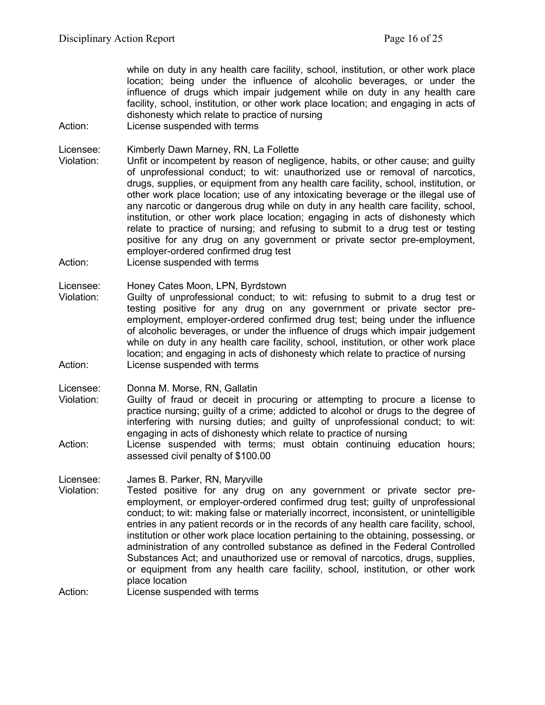while on duty in any health care facility, school, institution, or other work place location; being under the influence of alcoholic beverages, or under the influence of drugs which impair judgement while on duty in any health care facility, school, institution, or other work place location; and engaging in acts of dishonesty which relate to practice of nursing

Action: License suspended with terms

Licensee: Kimberly Dawn Marney, RN, La Follette

- Violation: Unfit or incompetent by reason of negligence, habits, or other cause; and guilty of unprofessional conduct; to wit: unauthorized use or removal of narcotics, drugs, supplies, or equipment from any health care facility, school, institution, or other work place location; use of any intoxicating beverage or the illegal use of any narcotic or dangerous drug while on duty in any health care facility, school, institution, or other work place location; engaging in acts of dishonesty which relate to practice of nursing; and refusing to submit to a drug test or testing positive for any drug on any government or private sector pre-employment, employer-ordered confirmed drug test
- Action: License suspended with terms

Licensee: Honey Cates Moon, LPN, Byrdstown

Violation: Guilty of unprofessional conduct; to wit: refusing to submit to a drug test or testing positive for any drug on any government or private sector preemployment, employer-ordered confirmed drug test; being under the influence of alcoholic beverages, or under the influence of drugs which impair judgement while on duty in any health care facility, school, institution, or other work place location; and engaging in acts of dishonesty which relate to practice of nursing Action: License suspended with terms

Licensee: Donna M. Morse, RN, Gallatin

- Violation: Guilty of fraud or deceit in procuring or attempting to procure a license to practice nursing; guilty of a crime; addicted to alcohol or drugs to the degree of interfering with nursing duties; and guilty of unprofessional conduct; to wit: engaging in acts of dishonesty which relate to practice of nursing
- Action: License suspended with terms; must obtain continuing education hours; assessed civil penalty of \$100.00

Licensee: James B. Parker, RN, Maryville

Violation: Tested positive for any drug on any government or private sector preemployment, or employer-ordered confirmed drug test; guilty of unprofessional conduct; to wit: making false or materially incorrect, inconsistent, or unintelligible entries in any patient records or in the records of any health care facility, school, institution or other work place location pertaining to the obtaining, possessing, or administration of any controlled substance as defined in the Federal Controlled Substances Act; and unauthorized use or removal of narcotics, drugs, supplies, or equipment from any health care facility, school, institution, or other work place location

Action: License suspended with terms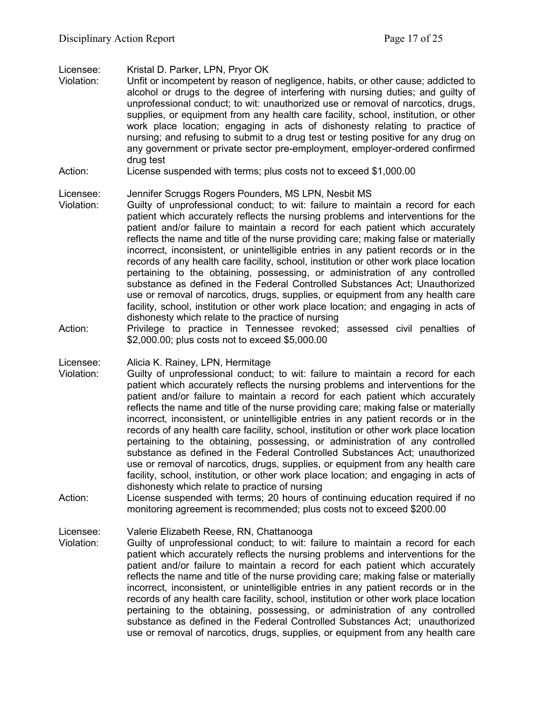Licensee: Kristal D. Parker, LPN, Pryor OK

- Violation: Unfit or incompetent by reason of negligence, habits, or other cause; addicted to alcohol or drugs to the degree of interfering with nursing duties; and guilty of unprofessional conduct; to wit: unauthorized use or removal of narcotics, drugs, supplies, or equipment from any health care facility, school, institution, or other work place location; engaging in acts of dishonesty relating to practice of nursing; and refusing to submit to a drug test or testing positive for any drug on any government or private sector pre-employment, employer-ordered confirmed drug test
- Action: License suspended with terms; plus costs not to exceed \$1,000.00

## Licensee: Jennifer Scruggs Rogers Pounders, MS LPN, Nesbit MS

- Violation: Guilty of unprofessional conduct; to wit: failure to maintain a record for each patient which accurately reflects the nursing problems and interventions for the patient and/or failure to maintain a record for each patient which accurately reflects the name and title of the nurse providing care; making false or materially incorrect, inconsistent, or unintelligible entries in any patient records or in the records of any health care facility, school, institution or other work place location pertaining to the obtaining, possessing, or administration of any controlled substance as defined in the Federal Controlled Substances Act; Unauthorized use or removal of narcotics, drugs, supplies, or equipment from any health care facility, school, institution or other work place location; and engaging in acts of dishonesty which relate to the practice of nursing
- Action: Privilege to practice in Tennessee revoked; assessed civil penalties of \$2,000.00; plus costs not to exceed \$5,000.00

Licensee: Alicia K. Rainey, LPN, Hermitage

- Violation: Guilty of unprofessional conduct; to wit: failure to maintain a record for each patient which accurately reflects the nursing problems and interventions for the patient and/or failure to maintain a record for each patient which accurately reflects the name and title of the nurse providing care; making false or materially incorrect, inconsistent, or unintelligible entries in any patient records or in the records of any health care facility, school, institution or other work place location pertaining to the obtaining, possessing, or administration of any controlled substance as defined in the Federal Controlled Substances Act; unauthorized use or removal of narcotics, drugs, supplies, or equipment from any health care facility, school, institution, or other work place location; and engaging in acts of dishonesty which relate to practice of nursing
- Action: License suspended with terms; 20 hours of continuing education required if no monitoring agreement is recommended; plus costs not to exceed \$200.00

Licensee: Valerie Elizabeth Reese, RN, Chattanooga

Violation: Guilty of unprofessional conduct; to wit: failure to maintain a record for each patient which accurately reflects the nursing problems and interventions for the patient and/or failure to maintain a record for each patient which accurately reflects the name and title of the nurse providing care; making false or materially incorrect, inconsistent, or unintelligible entries in any patient records or in the records of any health care facility, school, institution or other work place location pertaining to the obtaining, possessing, or administration of any controlled substance as defined in the Federal Controlled Substances Act; unauthorized use or removal of narcotics, drugs, supplies, or equipment from any health care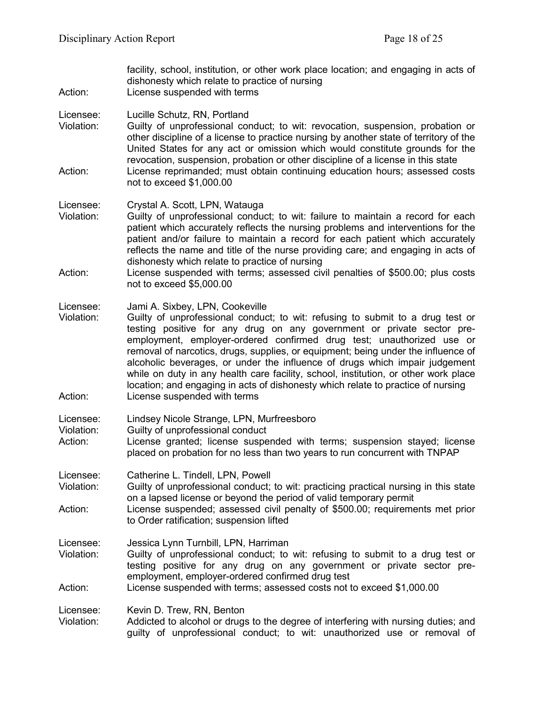| Action:                            | facility, school, institution, or other work place location; and engaging in acts of<br>dishonesty which relate to practice of nursing<br>License suspended with terms                                                                                                                                                                                                                                                                                                                                                                                                                                                                              |
|------------------------------------|-----------------------------------------------------------------------------------------------------------------------------------------------------------------------------------------------------------------------------------------------------------------------------------------------------------------------------------------------------------------------------------------------------------------------------------------------------------------------------------------------------------------------------------------------------------------------------------------------------------------------------------------------------|
| Licensee:<br>Violation:<br>Action: | Lucille Schutz, RN, Portland<br>Guilty of unprofessional conduct; to wit: revocation, suspension, probation or<br>other discipline of a license to practice nursing by another state of territory of the<br>United States for any act or omission which would constitute grounds for the<br>revocation, suspension, probation or other discipline of a license in this state<br>License reprimanded; must obtain continuing education hours; assessed costs<br>not to exceed \$1,000.00                                                                                                                                                             |
| Licensee:<br>Violation:<br>Action: | Crystal A. Scott, LPN, Watauga<br>Guilty of unprofessional conduct; to wit: failure to maintain a record for each<br>patient which accurately reflects the nursing problems and interventions for the<br>patient and/or failure to maintain a record for each patient which accurately<br>reflects the name and title of the nurse providing care; and engaging in acts of<br>dishonesty which relate to practice of nursing<br>License suspended with terms; assessed civil penalties of \$500.00; plus costs<br>not to exceed \$5,000.00                                                                                                          |
| Licensee:<br>Violation:<br>Action: | Jami A. Sixbey, LPN, Cookeville<br>Guilty of unprofessional conduct; to wit: refusing to submit to a drug test or<br>testing positive for any drug on any government or private sector pre-<br>employment, employer-ordered confirmed drug test; unauthorized use or<br>removal of narcotics, drugs, supplies, or equipment; being under the influence of<br>alcoholic beverages, or under the influence of drugs which impair judgement<br>while on duty in any health care facility, school, institution, or other work place<br>location; and engaging in acts of dishonesty which relate to practice of nursing<br>License suspended with terms |
| Licensee:<br>Violation:<br>Action: | Lindsey Nicole Strange, LPN, Murfreesboro<br>Guilty of unprofessional conduct<br>License granted; license suspended with terms; suspension stayed; license<br>placed on probation for no less than two years to run concurrent with TNPAP                                                                                                                                                                                                                                                                                                                                                                                                           |
| Licensee:<br>Violation:<br>Action: | Catherine L. Tindell, LPN, Powell<br>Guilty of unprofessional conduct; to wit: practicing practical nursing in this state<br>on a lapsed license or beyond the period of valid temporary permit<br>License suspended; assessed civil penalty of \$500.00; requirements met prior<br>to Order ratification; suspension lifted                                                                                                                                                                                                                                                                                                                        |
| Licensee:<br>Violation:<br>Action: | Jessica Lynn Turnbill, LPN, Harriman<br>Guilty of unprofessional conduct; to wit: refusing to submit to a drug test or<br>testing positive for any drug on any government or private sector pre-<br>employment, employer-ordered confirmed drug test<br>License suspended with terms; assessed costs not to exceed \$1,000.00                                                                                                                                                                                                                                                                                                                       |
| Licensee:<br>Violation:            | Kevin D. Trew, RN, Benton<br>Addicted to alcohol or drugs to the degree of interfering with nursing duties; and<br>guilty of unprofessional conduct; to wit: unauthorized use or removal of                                                                                                                                                                                                                                                                                                                                                                                                                                                         |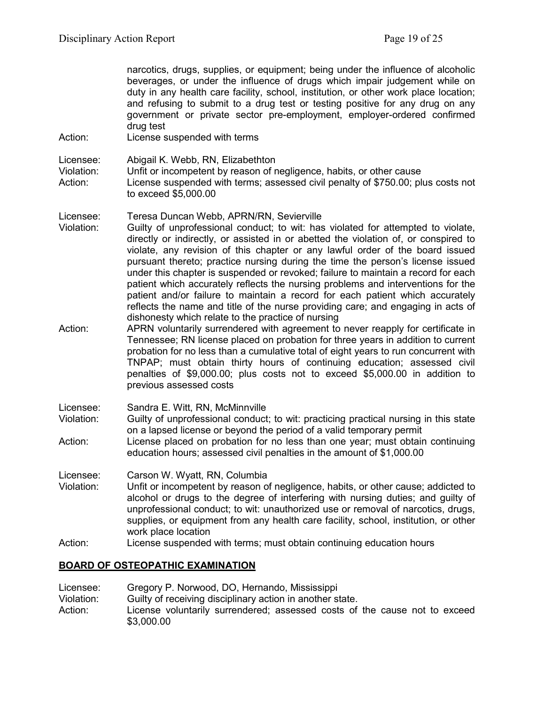narcotics, drugs, supplies, or equipment; being under the influence of alcoholic beverages, or under the influence of drugs which impair judgement while on duty in any health care facility, school, institution, or other work place location; and refusing to submit to a drug test or testing positive for any drug on any government or private sector pre-employment, employer-ordered confirmed drug test

Action: License suspended with terms

Licensee: Abigail K. Webb, RN, Elizabethton Violation: Unfit or incompetent by reason of negligence, habits, or other cause<br>Action: License suspended with terms: assessed civil penalty of \$750.00: pl License suspended with terms; assessed civil penalty of \$750.00; plus costs not to exceed \$5,000.00

- Licensee: Teresa Duncan Webb, APRN/RN, Sevierville Violation: Guilty of unprofessional conduct; to wit: has violated for attempted to violate, directly or indirectly, or assisted in or abetted the violation of, or conspired to violate, any revision of this chapter or any lawful order of the board issued pursuant thereto; practice nursing during the time the person's license issued under this chapter is suspended or revoked; failure to maintain a record for each patient which accurately reflects the nursing problems and interventions for the patient and/or failure to maintain a record for each patient which accurately reflects the name and title of the nurse providing care; and engaging in acts of dishonesty which relate to the practice of nursing
- Action: APRN voluntarily surrendered with agreement to never reapply for certificate in Tennessee; RN license placed on probation for three years in addition to current probation for no less than a cumulative total of eight years to run concurrent with TNPAP; must obtain thirty hours of continuing education; assessed civil penalties of \$9,000.00; plus costs not to exceed \$5,000.00 in addition to previous assessed costs
- Licensee: Sandra E. Witt, RN, McMinnville
- Violation: Guilty of unprofessional conduct; to wit: practicing practical nursing in this state on a lapsed license or beyond the period of a valid temporary permit
- Action: License placed on probation for no less than one year; must obtain continuing education hours; assessed civil penalties in the amount of \$1,000.00

#### Licensee: Carson W. Wyatt, RN, Columbia

- Violation: Unfit or incompetent by reason of negligence, habits, or other cause; addicted to alcohol or drugs to the degree of interfering with nursing duties; and guilty of unprofessional conduct; to wit: unauthorized use or removal of narcotics, drugs, supplies, or equipment from any health care facility, school, institution, or other work place location
- Action: License suspended with terms; must obtain continuing education hours

## **BOARD OF OSTEOPATHIC EXAMINATION**

Licensee: Gregory P. Norwood, DO, Hernando, Mississippi<br>Violation: Guilty of receiving disciplinary action in another st Guilty of receiving disciplinary action in another state. Action: License voluntarily surrendered; assessed costs of the cause not to exceed \$3,000.00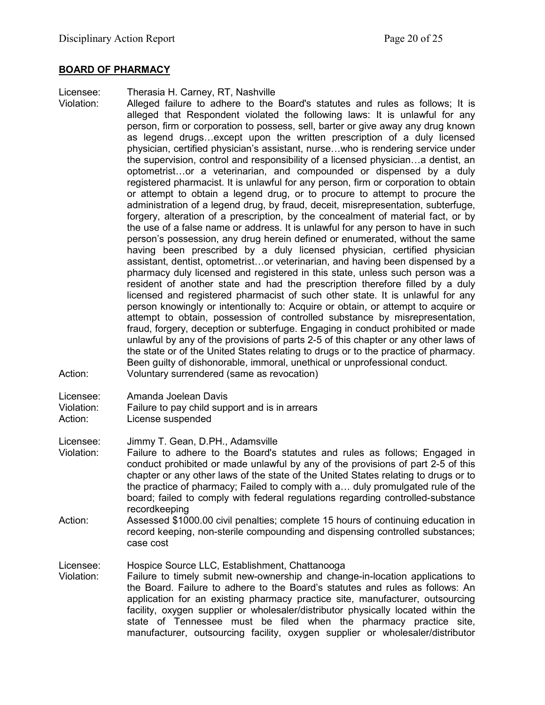#### **BOARD OF PHARMACY**

Licensee: Therasia H. Carney, RT, Nashville

Violation: Alleged failure to adhere to the Board's statutes and rules as follows; It is alleged that Respondent violated the following laws: It is unlawful for any person, firm or corporation to possess, sell, barter or give away any drug known as legend drugs…except upon the written prescription of a duly licensed physician, certified physician's assistant, nurse…who is rendering service under the supervision, control and responsibility of a licensed physician…a dentist, an optometrist…or a veterinarian, and compounded or dispensed by a duly registered pharmacist. It is unlawful for any person, firm or corporation to obtain or attempt to obtain a legend drug, or to procure to attempt to procure the administration of a legend drug, by fraud, deceit, misrepresentation, subterfuge, forgery, alteration of a prescription, by the concealment of material fact, or by the use of a false name or address. It is unlawful for any person to have in such person's possession, any drug herein defined or enumerated, without the same having been prescribed by a duly licensed physician, certified physician assistant, dentist, optometrist…or veterinarian, and having been dispensed by a pharmacy duly licensed and registered in this state, unless such person was a resident of another state and had the prescription therefore filled by a duly licensed and registered pharmacist of such other state. It is unlawful for any person knowingly or intentionally to: Acquire or obtain, or attempt to acquire or attempt to obtain, possession of controlled substance by misrepresentation, fraud, forgery, deception or subterfuge. Engaging in conduct prohibited or made unlawful by any of the provisions of parts 2-5 of this chapter or any other laws of the state or of the United States relating to drugs or to the practice of pharmacy. Been guilty of dishonorable, immoral, unethical or unprofessional conduct. Action: Voluntary surrendered (same as revocation)

- Licensee: Amanda Joelean Davis
- Violation: Failure to pay child support and is in arrears
- Action: License suspended
- Licensee: Jimmy T. Gean, D.PH., Adamsville
- Violation: Failure to adhere to the Board's statutes and rules as follows; Engaged in conduct prohibited or made unlawful by any of the provisions of part 2-5 of this chapter or any other laws of the state of the United States relating to drugs or to the practice of pharmacy; Failed to comply with a… duly promulgated rule of the board; failed to comply with federal regulations regarding controlled-substance recordkeeping
- Action: Assessed \$1000.00 civil penalties; complete 15 hours of continuing education in record keeping, non-sterile compounding and dispensing controlled substances; case cost

Licensee: Hospice Source LLC, Establishment, Chattanooga

Violation: Failure to timely submit new-ownership and change-in-location applications to the Board. Failure to adhere to the Board's statutes and rules as follows: An application for an existing pharmacy practice site, manufacturer, outsourcing facility, oxygen supplier or wholesaler/distributor physically located within the state of Tennessee must be filed when the pharmacy practice site, manufacturer, outsourcing facility, oxygen supplier or wholesaler/distributor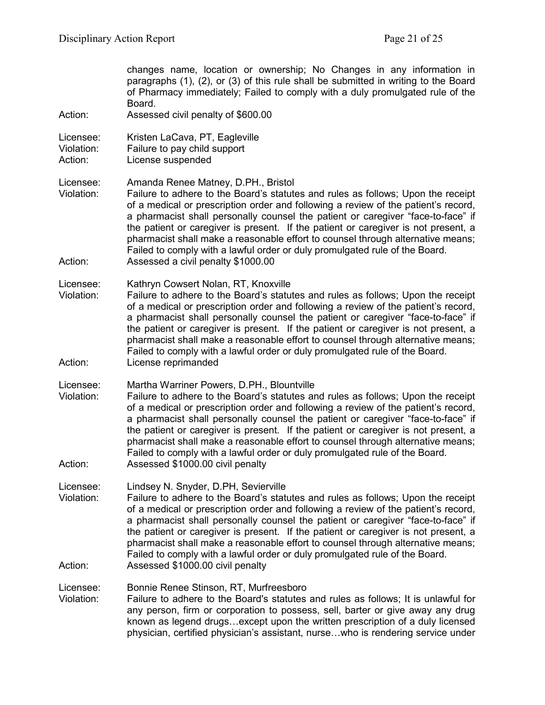| Action:                            | changes name, location or ownership; No Changes in any information in<br>paragraphs (1), (2), or (3) of this rule shall be submitted in writing to the Board<br>of Pharmacy immediately; Failed to comply with a duly promulgated rule of the<br>Board.<br>Assessed civil penalty of \$600.00                                                                                                                                                                                                                                                                                                   |
|------------------------------------|-------------------------------------------------------------------------------------------------------------------------------------------------------------------------------------------------------------------------------------------------------------------------------------------------------------------------------------------------------------------------------------------------------------------------------------------------------------------------------------------------------------------------------------------------------------------------------------------------|
|                                    |                                                                                                                                                                                                                                                                                                                                                                                                                                                                                                                                                                                                 |
| Licensee:<br>Violation:<br>Action: | Kristen LaCava, PT, Eagleville<br>Failure to pay child support<br>License suspended                                                                                                                                                                                                                                                                                                                                                                                                                                                                                                             |
| Licensee:<br>Violation:<br>Action: | Amanda Renee Matney, D.PH., Bristol<br>Failure to adhere to the Board's statutes and rules as follows; Upon the receipt<br>of a medical or prescription order and following a review of the patient's record,<br>a pharmacist shall personally counsel the patient or caregiver "face-to-face" if<br>the patient or caregiver is present. If the patient or caregiver is not present, a<br>pharmacist shall make a reasonable effort to counsel through alternative means;<br>Failed to comply with a lawful order or duly promulgated rule of the Board.<br>Assessed a civil penalty \$1000.00 |
| Licensee:                          | Kathryn Cowsert Nolan, RT, Knoxville                                                                                                                                                                                                                                                                                                                                                                                                                                                                                                                                                            |
| Violation:<br>Action:              | Failure to adhere to the Board's statutes and rules as follows; Upon the receipt<br>of a medical or prescription order and following a review of the patient's record,<br>a pharmacist shall personally counsel the patient or caregiver "face-to-face" if<br>the patient or caregiver is present. If the patient or caregiver is not present, a<br>pharmacist shall make a reasonable effort to counsel through alternative means;<br>Failed to comply with a lawful order or duly promulgated rule of the Board.<br>License reprimanded                                                       |
| Licensee:<br>Violation:            | Martha Warriner Powers, D.PH., Blountville<br>Failure to adhere to the Board's statutes and rules as follows; Upon the receipt<br>of a medical or prescription order and following a review of the patient's record,<br>a pharmacist shall personally counsel the patient or caregiver "face-to-face" if<br>the patient or caregiver is present. If the patient or caregiver is not present, a<br>pharmacist shall make a reasonable effort to counsel through alternative means;<br>Failed to comply with a lawful order or duly promulgated rule of the Board.                                |
| Action:                            | Assessed \$1000.00 civil penalty                                                                                                                                                                                                                                                                                                                                                                                                                                                                                                                                                                |
| Licensee:<br>Violation:            | Lindsey N. Snyder, D.PH, Sevierville<br>Failure to adhere to the Board's statutes and rules as follows; Upon the receipt<br>of a medical or prescription order and following a review of the patient's record,<br>a pharmacist shall personally counsel the patient or caregiver "face-to-face" if<br>the patient or caregiver is present. If the patient or caregiver is not present, a<br>pharmacist shall make a reasonable effort to counsel through alternative means;<br>Failed to comply with a lawful order or duly promulgated rule of the Board.                                      |
| Action:                            | Assessed \$1000.00 civil penalty                                                                                                                                                                                                                                                                                                                                                                                                                                                                                                                                                                |
| Licensee:<br>Violation:            | Bonnie Renee Stinson, RT, Murfreesboro<br>Failure to adhere to the Board's statutes and rules as follows; It is unlawful for<br>any person, firm or corporation to possess, sell, barter or give away any drug<br>known as legend drugsexcept upon the written prescription of a duly licensed<br>physician, certified physician's assistant, nursewho is rendering service under                                                                                                                                                                                                               |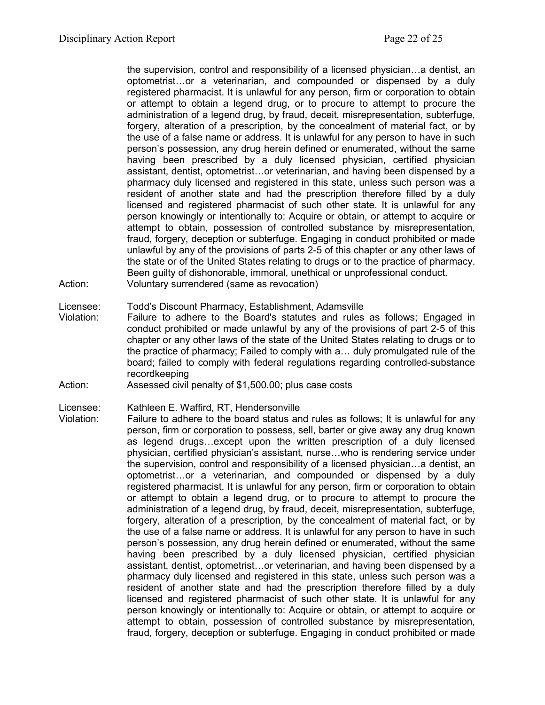the supervision, control and responsibility of a licensed physician…a dentist, an optometrist…or a veterinarian, and compounded or dispensed by a duly registered pharmacist. It is unlawful for any person, firm or corporation to obtain or attempt to obtain a legend drug, or to procure to attempt to procure the administration of a legend drug, by fraud, deceit, misrepresentation, subterfuge, forgery, alteration of a prescription, by the concealment of material fact, or by the use of a false name or address. It is unlawful for any person to have in such person's possession, any drug herein defined or enumerated, without the same having been prescribed by a duly licensed physician, certified physician assistant, dentist, optometrist…or veterinarian, and having been dispensed by a pharmacy duly licensed and registered in this state, unless such person was a resident of another state and had the prescription therefore filled by a duly licensed and registered pharmacist of such other state. It is unlawful for any person knowingly or intentionally to: Acquire or obtain, or attempt to acquire or attempt to obtain, possession of controlled substance by misrepresentation, fraud, forgery, deception or subterfuge. Engaging in conduct prohibited or made unlawful by any of the provisions of parts 2-5 of this chapter or any other laws of the state or of the United States relating to drugs or to the practice of pharmacy. Been guilty of dishonorable, immoral, unethical or unprofessional conduct. Action: Voluntary surrendered (same as revocation)

#### Licensee: Todd's Discount Pharmacy, Establishment, Adamsville

- Violation: Failure to adhere to the Board's statutes and rules as follows; Engaged in conduct prohibited or made unlawful by any of the provisions of part 2-5 of this chapter or any other laws of the state of the United States relating to drugs or to the practice of pharmacy; Failed to comply with a… duly promulgated rule of the board; failed to comply with federal regulations regarding controlled-substance recordkeeping
- Action: Assessed civil penalty of \$1,500.00; plus case costs

#### Licensee: Kathleen E. Waffird, RT, Hendersonville

Violation: Failure to adhere to the board status and rules as follows; It is unlawful for any person, firm or corporation to possess, sell, barter or give away any drug known as legend drugs…except upon the written prescription of a duly licensed physician, certified physician's assistant, nurse…who is rendering service under the supervision, control and responsibility of a licensed physician…a dentist, an optometrist…or a veterinarian, and compounded or dispensed by a duly registered pharmacist. It is unlawful for any person, firm or corporation to obtain or attempt to obtain a legend drug, or to procure to attempt to procure the administration of a legend drug, by fraud, deceit, misrepresentation, subterfuge, forgery, alteration of a prescription, by the concealment of material fact, or by the use of a false name or address. It is unlawful for any person to have in such person's possession, any drug herein defined or enumerated, without the same having been prescribed by a duly licensed physician, certified physician assistant, dentist, optometrist…or veterinarian, and having been dispensed by a pharmacy duly licensed and registered in this state, unless such person was a resident of another state and had the prescription therefore filled by a duly licensed and registered pharmacist of such other state. It is unlawful for any person knowingly or intentionally to: Acquire or obtain, or attempt to acquire or attempt to obtain, possession of controlled substance by misrepresentation, fraud, forgery, deception or subterfuge. Engaging in conduct prohibited or made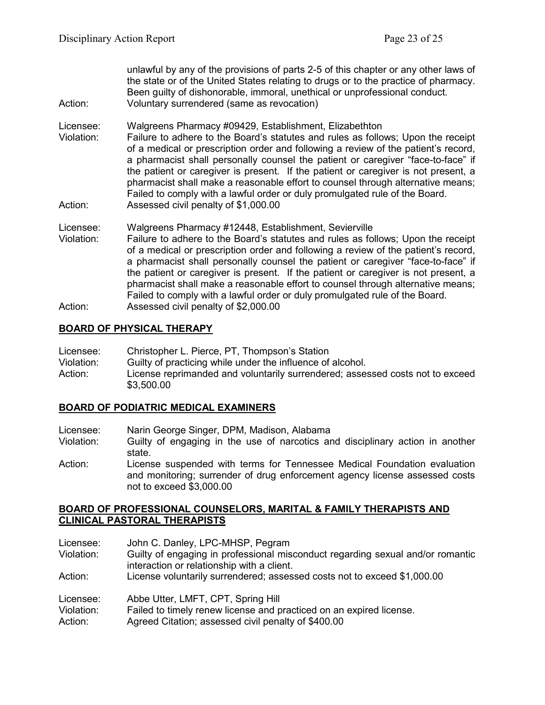unlawful by any of the provisions of parts 2-5 of this chapter or any other laws of the state or of the United States relating to drugs or to the practice of pharmacy. Been guilty of dishonorable, immoral, unethical or unprofessional conduct. Action: Voluntary surrendered (same as revocation)

Licensee: Walgreens Pharmacy #09429, Establishment, Elizabethton

- Violation: Failure to adhere to the Board's statutes and rules as follows; Upon the receipt of a medical or prescription order and following a review of the patient's record, a pharmacist shall personally counsel the patient or caregiver "face-to-face" if the patient or caregiver is present. If the patient or caregiver is not present, a pharmacist shall make a reasonable effort to counsel through alternative means; Failed to comply with a lawful order or duly promulgated rule of the Board. Action: Assessed civil penalty of \$1,000.00
- Licensee: Walgreens Pharmacy #12448, Establishment, Sevierville
- Violation: Failure to adhere to the Board's statutes and rules as follows; Upon the receipt of a medical or prescription order and following a review of the patient's record, a pharmacist shall personally counsel the patient or caregiver "face-to-face" if the patient or caregiver is present. If the patient or caregiver is not present, a pharmacist shall make a reasonable effort to counsel through alternative means; Failed to comply with a lawful order or duly promulgated rule of the Board. Action: Assessed civil penalty of \$2,000.00

## **BOARD OF PHYSICAL THERAPY**

| Licensee:  | Christopher L. Pierce, PT, Thompson's Station                                               |  |
|------------|---------------------------------------------------------------------------------------------|--|
| Violation: | Guilty of practicing while under the influence of alcohol.                                  |  |
| Action:    | License reprimanded and voluntarily surrendered; assessed costs not to exceed<br>\$3,500.00 |  |

## **BOARD OF PODIATRIC MEDICAL EXAMINERS**

- Licensee: Narin George Singer, DPM, Madison, Alabama<br>Violation: Guilty of engaging in the use of narcotics an
- Guilty of engaging in the use of narcotics and disciplinary action in another state.
- Action: License suspended with terms for Tennessee Medical Foundation evaluation and monitoring; surrender of drug enforcement agency license assessed costs not to exceed \$3,000.00

#### **BOARD OF PROFESSIONAL COUNSELORS, MARITAL & FAMILY THERAPISTS AND CLINICAL PASTORAL THERAPISTS**

| Licensee:<br>Violation: | John C. Danley, LPC-MHSP, Pegram<br>Guilty of engaging in professional misconduct regarding sexual and/or romantic |
|-------------------------|--------------------------------------------------------------------------------------------------------------------|
|                         | interaction or relationship with a client.                                                                         |
| Action:                 | License voluntarily surrendered; assessed costs not to exceed \$1,000.00                                           |
| Licensee:               | Abbe Utter, LMFT, CPT, Spring Hill                                                                                 |
| Violation:              | Failed to timely renew license and practiced on an expired license.                                                |
| Action:                 | Agreed Citation; assessed civil penalty of \$400.00                                                                |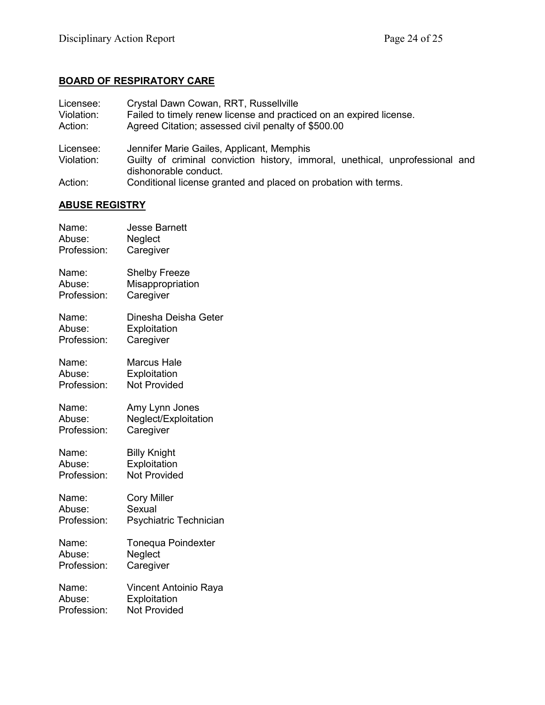## **BOARD OF RESPIRATORY CARE**

| Licensee:<br>Violation:<br>Action: | Crystal Dawn Cowan, RRT, Russellville<br>Failed to timely renew license and practiced on an expired license.<br>Agreed Citation; assessed civil penalty of \$500.00 |  |
|------------------------------------|---------------------------------------------------------------------------------------------------------------------------------------------------------------------|--|
| Licensee:                          | Jennifer Marie Gailes, Applicant, Memphis                                                                                                                           |  |
| Violation:                         | Guilty of criminal conviction history, immoral, unethical, unprofessional and<br>dishonorable conduct.                                                              |  |
| Action:                            | Conditional license granted and placed on probation with terms.                                                                                                     |  |

# **ABUSE REGISTRY**

| Name:       | <b>Jesse Barnett</b>   |
|-------------|------------------------|
| Abuse:      | Neglect                |
| Profession: | Caregiver              |
| Name:       | <b>Shelby Freeze</b>   |
| Abuse:      | Misappropriation       |
| Profession: | Caregiver              |
| Name:       | Dinesha Deisha Geter   |
| Abuse:      | Exploitation           |
| Profession: | Caregiver              |
| Name:       | <b>Marcus Hale</b>     |
| Abuse:      | Exploitation           |
| Profession: | <b>Not Provided</b>    |
| Name:       | Amy Lynn Jones         |
| Abuse:      | Neglect/Exploitation   |
| Profession: | Caregiver              |
| Name:       | <b>Billy Knight</b>    |
| Abuse:      | Exploitation           |
| Profession: | <b>Not Provided</b>    |
| Name:       | <b>Cory Miller</b>     |
| Abuse:      | Sexual                 |
| Profession: | Psychiatric Technician |
| Name:       | Tonequa Poindexter     |
| Abuse:      | Neglect                |
| Profession: | Caregiver              |
| Name:       | Vincent Antoinio Raya  |
| Abuse:      | Exploitation           |
| Profession: | <b>Not Provided</b>    |
|             |                        |